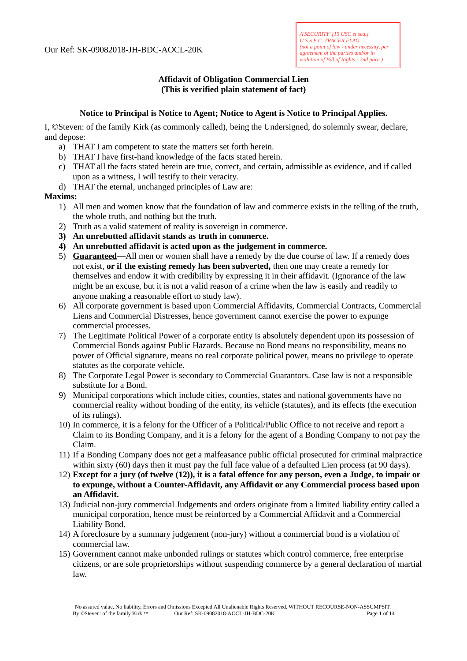# **Affidavit of Obligation Commercial Lien (This is verified plain statement of fact)**

### **Notice to Principal is Notice to Agent; Notice to Agent is Notice to Principal Applies.**

I, ©Steven: of the family Kirk (as commonly called), being the Undersigned, do solemnly swear, declare, and depose:

- a) THAT I am competent to state the matters set forth herein.
- b) THAT I have first-hand knowledge of the facts stated herein.
- c) THAT all the facts stated herein are true, correct, and certain, admissible as evidence, and if called upon as a witness, I will testify to their veracity.
- d) THAT the eternal, unchanged principles of Law are:

#### **Maxims:**

- 1) All men and women know that the foundation of law and commerce exists in the telling of the truth, the whole truth, and nothing but the truth.
- 2) Truth as a valid statement of reality is sovereign in commerce.
- **3) An unrebutted affidavit stands as truth in commerce.**
- **4) An unrebutted affidavit is acted upon as the judgement in commerce.**
- 5) **Guaranteed**—All men or women shall have a remedy by the due course of law. If a remedy does not exist, **or if the existing remedy has been subverted,** then one may create a remedy for themselves and endow it with credibility by expressing it in their affidavit. (Ignorance of the law might be an excuse, but it is not a valid reason of a crime when the law is easily and readily to anyone making a reasonable effort to study law).
- 6) All corporate government is based upon Commercial Affidavits, Commercial Contracts, Commercial Liens and Commercial Distresses, hence government cannot exercise the power to expunge commercial processes.
- 7) The Legitimate Political Power of a corporate entity is absolutely dependent upon its possession of Commercial Bonds against Public Hazards. Because no Bond means no responsibility, means no power of Official signature, means no real corporate political power, means no privilege to operate statutes as the corporate vehicle.
- 8) The Corporate Legal Power is secondary to Commercial Guarantors. Case law is not a responsible substitute for a Bond.
- 9) Municipal corporations which include cities, counties, states and national governments have no commercial reality without bonding of the entity, its vehicle (statutes), and its effects (the execution of its rulings).
- 10) In commerce, it is a felony for the Officer of a Political/Public Office to not receive and report a Claim to its Bonding Company, and it is a felony for the agent of a Bonding Company to not pay the Claim.
- 11) If a Bonding Company does not get a malfeasance public official prosecuted for criminal malpractice within sixty (60) days then it must pay the full face value of a defaulted Lien process (at 90 days).
- 12) **Except for a jury (of twelve (12)), it is a fatal offence for any person, even a Judge, to impair or to expunge, without a Counter-Affidavit, any Affidavit or any Commercial process based upon an Affidavit.**
- 13) Judicial non-jury commercial Judgements and orders originate from a limited liability entity called a municipal corporation, hence must be reinforced by a Commercial Affidavit and a Commercial Liability Bond.
- 14) A foreclosure by a summary judgement (non-jury) without a commercial bond is a violation of commercial law.
- 15) Government cannot make unbonded rulings or statutes which control commerce, free enterprise citizens, or are sole proprietorships without suspending commerce by a general declaration of martial law.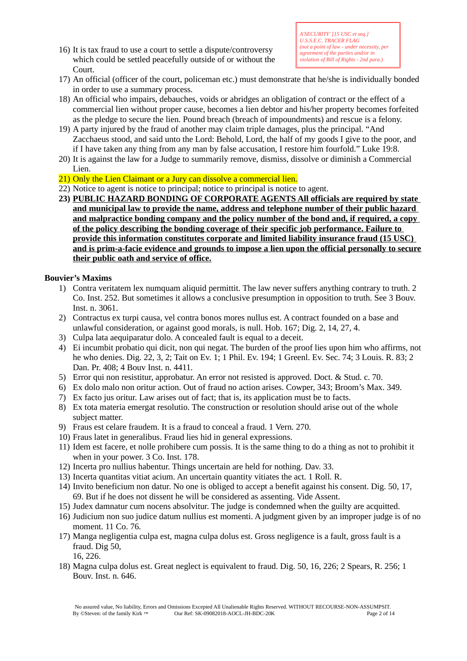16) It is tax fraud to use a court to settle a dispute/controversy which could be settled peacefully outside of or without the Court.

- 17) An official (officer of the court, policeman etc.) must demonstrate that he/she is individually bonded in order to use a summary process.
- 18) An official who impairs, debauches, voids or abridges an obligation of contract or the effect of a commercial lien without proper cause, becomes a lien debtor and his/her property becomes forfeited as the pledge to secure the lien. Pound breach (breach of impoundments) and rescue is a felony.
- 19) A party injured by the fraud of another may claim triple damages, plus the principal. "And Zacchaeus stood, and said unto the Lord: Behold, Lord, the half of my goods I give to the poor, and if I have taken any thing from any man by false accusation, I restore him fourfold." Luke 19:8.
- 20) It is against the law for a Judge to summarily remove, dismiss, dissolve or diminish a Commercial Lien.
- 21) Only the Lien Claimant or a Jury can dissolve a commercial lien.
- 22) Notice to agent is notice to principal; notice to principal is notice to agent.
- **23) PUBLIC HAZARD BONDING OF CORPORATE AGENTS All officials are required by state and municipal law to provide the name, address and telephone number of their public hazard and malpractice bonding company and the policy number of the bond and, if required, a copy of the policy describing the bonding coverage of their specific job performance. Failure to provide this information constitutes corporate and limited liability insurance fraud (15 USC) and is prim-a-facie evidence and grounds to impose a lien upon the official personally to secure their public oath and service of office.**

# **Bouvier's Maxims**

- 1) Contra veritatem lex numquam aliquid permittit. The law never suffers anything contrary to truth. 2 Co. Inst. 252. But sometimes it allows a conclusive presumption in opposition to truth. See 3 Bouv. Inst. n. 3061.
- 2) Contractus ex turpi causa, vel contra bonos mores nullus est. A contract founded on a base and unlawful consideration, or against good morals, is null. Hob. 167; Dig. 2, 14, 27, 4.
- 3) Culpa lata aequiparatur dolo. A concealed fault is equal to a deceit.
- 4) Ei incumbit probatio qui dicit, non qui negat. The burden of the proof lies upon him who affirms, not he who denies. Dig. 22, 3, 2; Tait on Ev. 1; 1 Phil. Ev. 194; 1 Greenl. Ev. Sec. 74; 3 Louis. R. 83; 2 Dan. Pr. 408; 4 Bouv Inst. n. 4411.
- 5) Error qui non resistitur, approbatur. An error not resisted is approved. Doct. & Stud. c. 70.
- 6) Ex dolo malo non oritur action. Out of fraud no action arises. Cowper, 343; Broom's Max. 349.
- 7) Ex facto jus oritur. Law arises out of fact; that is, its application must be to facts.
- 8) Ex tota materia emergat resolutio. The construction or resolution should arise out of the whole subject matter.
- 9) Fraus est celare fraudem. It is a fraud to conceal a fraud. 1 Vern. 270.
- 10) Fraus latet in generalibus. Fraud lies hid in general expressions.
- 11) Idem est facere, et nolle prohibere cum possis. It is the same thing to do a thing as not to prohibit it when in your power. 3 Co. Inst. 178.
- 12) Incerta pro nullius habentur. Things uncertain are held for nothing. Dav. 33.
- 13) Incerta quantitas vitiat acium. An uncertain quantity vitiates the act. 1 Roll. R.
- 14) Invito beneficium non datur. No one is obliged to accept a benefit against his consent. Dig. 50, 17, 69. But if he does not dissent he will be considered as assenting. Vide Assent.
- 15) Judex damnatur cum nocens absolvitur. The judge is condemned when the guilty are acquitted.
- 16) Judicium non suo judice datum nullius est momenti. A judgment given by an improper judge is of no moment. 11 Co. 76.
- 17) Manga negligentia culpa est, magna culpa dolus est. Gross negligence is a fault, gross fault is a fraud. Dig 50,

16, 226.

18) Magna culpa dolus est. Great neglect is equivalent to fraud. Dig. 50, 16, 226; 2 Spears, R. 256; 1 Bouv. Inst. n. 646.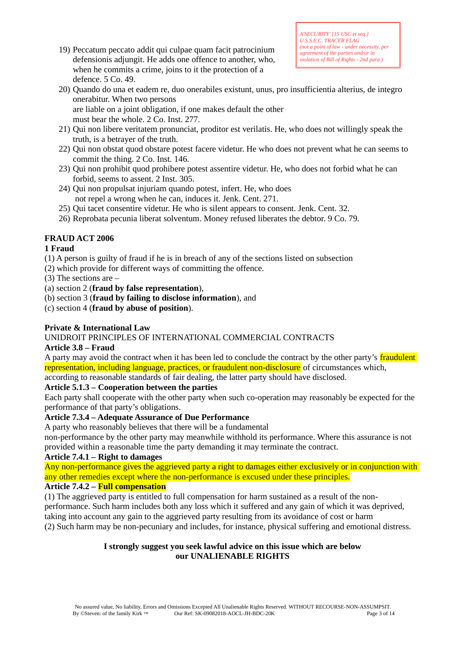19) Peccatum peccato addit qui culpae quam facit patrocinium defensionis adjungit. He adds one offence to another, who, when he commits a crime, joins to it the protection of a defence. 5 Co. 49.

- 20) Quando do una et eadem re, duo onerabiles existunt, unus, pro insufficientia alterius, de integro onerabitur. When two persons are liable on a joint obligation, if one makes default the other must bear the whole. 2 Co. Inst. 277.
- 21) Qui non libere veritatem pronunciat, proditor est verilatis. He, who does not willingly speak the truth, is a betrayer of the truth.
- 22) Qui non obstat quod obstare potest facere videtur. He who does not prevent what he can seems to commit the thing. 2 Co. Inst. 146.
- 23) Qui non prohibit quod prohibere potest assentire videtur. He, who does not forbid what he can forbid, seems to assent. 2 Inst. 305.
- 24) Qui non propulsat injuriam quando potest, infert. He, who does not repel a wrong when he can, induces it. Jenk. Cent. 271.
- 25) Qui tacet consentire videtur. He who is silent appears to consent. Jenk. Cent. 32.
- 26) Reprobata pecunia liberat solventum. Money refused liberates the debtor. 9 Co. 79.

# **FRAUD ACT 2006**

# **1 Fraud**

- (1) A person is guilty of fraud if he is in breach of any of the sections listed on subsection
- (2) which provide for different ways of committing the offence.
- (3) The sections are –
- (a) section 2 (**fraud by false representation**),
- (b) section 3 (**fraud by failing to disclose information**), and

(c) section 4 (**fraud by abuse of position**).

### **Private & International Law**

#### UNIDROIT PRINCIPLES OF INTERNATIONAL COMMERCIAL CONTRACTS

#### **Article 3.8 – Fraud**

A party may avoid the contract when it has been led to conclude the contract by the other party's fraudulent representation, including language, practices, or fraudulent non-disclosure of circumstances which,

according to reasonable standards of fair dealing, the latter party should have disclosed.

#### **Article 5.1.3 – Cooperation between the parties**

Each party shall cooperate with the other party when such co-operation may reasonably be expected for the performance of that party's obligations.

#### **Article 7.3.4 – Adequate Assurance of Due Performance**

A party who reasonably believes that there will be a fundamental

non-performance by the other party may meanwhile withhold its performance. Where this assurance is not provided within a reasonable time the party demanding it may terminate the contract.

#### **Article 7.4.1 – Right to damages**

Any non-performance gives the aggrieved party a right to damages either exclusively or in conjunction with any other remedies except where the non-performance is excused under these principles.

#### **Article 7.4.2 – Full compensation**

(1) The aggrieved party is entitled to full compensation for harm sustained as a result of the nonperformance. Such harm includes both any loss which it suffered and any gain of which it was deprived, taking into account any gain to the aggrieved party resulting from its avoidance of cost or harm (2) Such harm may be non-pecuniary and includes, for instance, physical suffering and emotional distress.

# **I strongly suggest you seek lawful advice on this issue which are below our UNALIENABLE RIGHTS**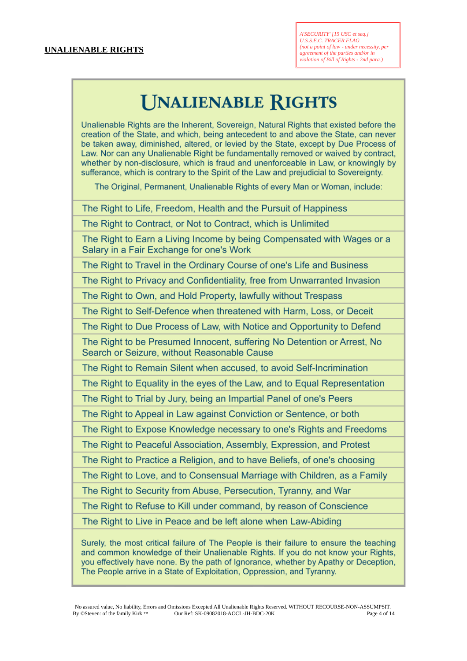# **UNALIENABLE RIGHTS**

Unalienable Rights are the Inherent, Sovereign, Natural Rights that existed before the creation of the State, and which, being antecedent to and above the State, can never be taken away, diminished, altered, or levied by the State, except by Due Process of Law. Nor can any Unalienable Right be fundamentally removed or waived by contract. whether by non-disclosure, which is fraud and unenforceable in Law, or knowingly by sufferance, which is contrary to the Spirit of the Law and prejudicial to Sovereignty.

The Original, Permanent, Unalienable Rights of every Man or Woman, include:

The Right to Life, Freedom, Health and the Pursuit of Happiness

The Right to Contract, or Not to Contract, which is Unlimited

The Right to Earn a Living Income by being Compensated with Wages or a Salary in a Fair Exchange for one's Work

The Right to Travel in the Ordinary Course of one's Life and Business

The Right to Privacy and Confidentiality, free from Unwarranted Invasion

The Right to Own, and Hold Property, lawfully without Trespass

The Right to Self-Defence when threatened with Harm, Loss, or Deceit

The Right to Due Process of Law, with Notice and Opportunity to Defend

The Right to be Presumed Innocent, suffering No Detention or Arrest, No Search or Seizure, without Reasonable Cause

The Right to Remain Silent when accused, to avoid Self-Incrimination

The Right to Equality in the eyes of the Law, and to Equal Representation

The Right to Trial by Jury, being an Impartial Panel of one's Peers

The Right to Appeal in Law against Conviction or Sentence, or both

The Right to Expose Knowledge necessary to one's Rights and Freedoms

The Right to Peaceful Association, Assembly, Expression, and Protest

The Right to Practice a Religion, and to have Beliefs, of one's choosing

The Right to Love, and to Consensual Marriage with Children, as a Family

The Right to Security from Abuse, Persecution, Tyranny, and War

The Right to Refuse to Kill under command, by reason of Conscience

The Right to Live in Peace and be left alone when Law-Abiding

Surely, the most critical failure of The People is their failure to ensure the teaching and common knowledge of their Unalienable Rights. If you do not know your Rights, you effectively have none. By the path of Ignorance, whether by Apathy or Deception, The People arrive in a State of Exploitation, Oppression, and Tyranny.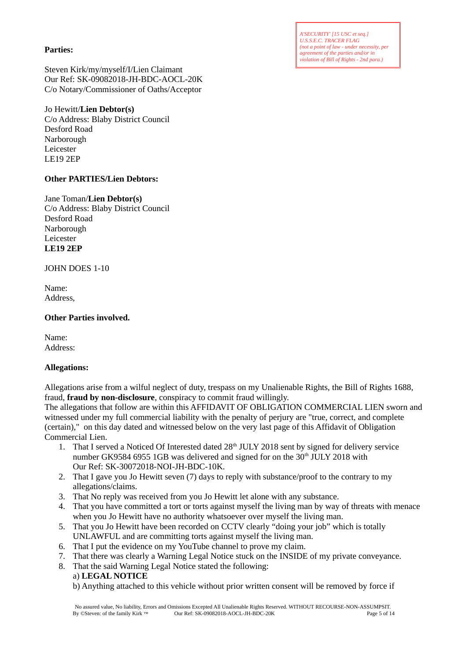*A'SECURITY' [15 USC et seq.] U.S.S.E.C. TRACER FLAG (not a point of law - under necessity, per agreement of the parties and/or in violation of Bill of Rights - 2nd para.)*

#### **Parties:**

Steven Kirk/my/myself/I/Lien Claimant Our Ref: SK-09082018-JH-BDC-AOCL-20K C/o Notary/Commissioner of Oaths/Acceptor

# Jo Hewitt/**Lien Debtor(s)**

C/o Address: Blaby District Council Desford Road Narborough Leicester LE19 2EP

# **Other PARTIES/Lien Debtors:**

# Jane Toman/**Lien Debtor(s)**

C/o Address: Blaby District Council Desford Road Narborough Leicester **LE19 2EP**

JOHN DOES 1-10

Name: Address,

# **Other Parties involved.**

Name: Address:

# **Allegations:**

Allegations arise from a wilful neglect of duty, trespass on my Unalienable Rights, the Bill of Rights 1688, fraud, **fraud by non-disclosure**, conspiracy to commit fraud willingly.

The allegations that follow are within this AFFIDAVIT OF OBLIGATION COMMERCIAL LIEN sworn and witnessed under my full commercial liability with the penalty of perjury are "true, correct, and complete (certain)," on this day dated and witnessed below on the very last page of this Affidavit of Obligation Commercial Lien.

- 1. That I served a Noticed Of Interested dated 28<sup>th</sup> JULY 2018 sent by signed for delivery service number GK9584 6955 1GB was delivered and signed for on the  $30<sup>th</sup>$  JULY 2018 with Our Ref: SK-30072018-NOI-JH-BDC-10K.
- 2. That I gave you Jo Hewitt seven (7) days to reply with substance/proof to the contrary to my allegations/claims.
- 3. That No reply was received from you Jo Hewitt let alone with any substance.
- 4. That you have committed a tort or torts against myself the living man by way of threats with menace when you Jo Hewitt have no authority whatsoever over myself the living man.
- 5. That you Jo Hewitt have been recorded on CCTV clearly "doing your job" which is totally UNLAWFUL and are committing torts against myself the living man.
- 6. That I put the evidence on my YouTube channel to prove my claim.
- 7. That there was clearly a Warning Legal Notice stuck on the INSIDE of my private conveyance.
- 8. That the said Warning Legal Notice stated the following:
	- a) **LEGAL NOTICE**

b) Anything attached to this vehicle without prior written consent will be removed by force if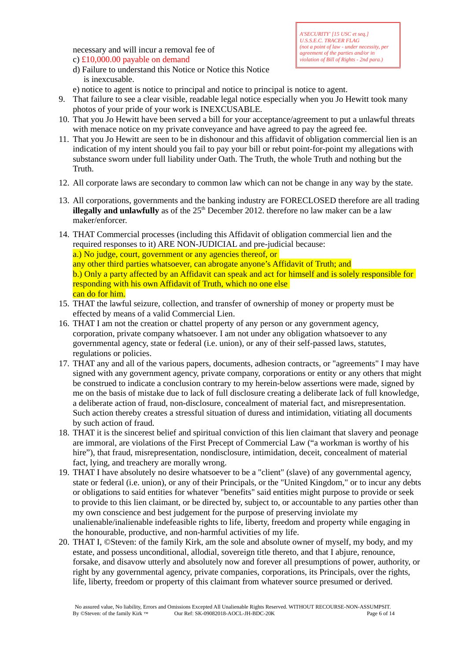necessary and will incur a removal fee of c) £10,000.00 payable on demand

*A'SECURITY' [15 USC et seq.] U.S.S.E.C. TRACER FLAG (not a point of law - under necessity, per agreement of the parties and/or in violation of Bill of Rights - 2nd para.)*

- d) Failure to understand this Notice or Notice this Notice is inexcusable.
- e) notice to agent is notice to principal and notice to principal is notice to agent.
- 9. That failure to see a clear visible, readable legal notice especially when you Jo Hewitt took many photos of your pride of your work is INEXCUSABLE.
- 10. That you Jo Hewitt have been served a bill for your acceptance/agreement to put a unlawful threats with menace notice on my private conveyance and have agreed to pay the agreed fee.
- 11. That you Jo Hewitt are seen to be in dishonour and this affidavit of obligation commercial lien is an indication of my intent should you fail to pay your bill or rebut point-for-point my allegations with substance sworn under full liability under Oath. The Truth, the whole Truth and nothing but the Truth.
- 12. All corporate laws are secondary to common law which can not be change in any way by the state.
- 13. All corporations, governments and the banking industry are FORECLOSED therefore are all trading **illegally and unlawfully** as of the  $25<sup>th</sup>$  December 2012. therefore no law maker can be a law maker/enforcer.
- 14. THAT Commercial processes (including this Affidavit of obligation commercial lien and the required responses to it) ARE NON-JUDICIAL and pre-judicial because: a.) No judge, court, government or any agencies thereof, or any other third parties whatsoever, can abrogate anyone's Affidavit of Truth; and b.) Only a party affected by an Affidavit can speak and act for himself and is solely responsible for responding with his own Affidavit of Truth, which no one else can do for him.
- 15. THAT the lawful seizure, collection, and transfer of ownership of money or property must be effected by means of a valid Commercial Lien.
- 16. THAT I am not the creation or chattel property of any person or any government agency, corporation, private company whatsoever. I am not under any obligation whatsoever to any governmental agency, state or federal (i.e. union), or any of their self-passed laws, statutes, regulations or policies.
- 17. THAT any and all of the various papers, documents, adhesion contracts, or "agreements" I may have signed with any government agency, private company, corporations or entity or any others that might be construed to indicate a conclusion contrary to my herein-below assertions were made, signed by me on the basis of mistake due to lack of full disclosure creating a deliberate lack of full knowledge, a deliberate action of fraud, non-disclosure, concealment of material fact, and misrepresentation. Such action thereby creates a stressful situation of duress and intimidation, vitiating all documents by such action of fraud.
- 18. THAT it is the sincerest belief and spiritual conviction of this lien claimant that slavery and peonage are immoral, are violations of the First Precept of Commercial Law ("a workman is worthy of his hire"), that fraud, misrepresentation, nondisclosure, intimidation, deceit, concealment of material fact, lying, and treachery are morally wrong.
- 19. THAT I have absolutely no desire whatsoever to be a "client" (slave) of any governmental agency, state or federal (i.e. union), or any of their Principals, or the "United Kingdom," or to incur any debts or obligations to said entities for whatever "benefits" said entities might purpose to provide or seek to provide to this lien claimant, or be directed by, subject to, or accountable to any parties other than my own conscience and best judgement for the purpose of preserving inviolate my unalienable/inalienable indefeasible rights to life, liberty, freedom and property while engaging in the honourable, productive, and non-harmful activities of my life.
- 20. THAT I, ©Steven: of the family Kirk, am the sole and absolute owner of myself, my body, and my estate, and possess unconditional, allodial, sovereign title thereto, and that I abjure, renounce, forsake, and disavow utterly and absolutely now and forever all presumptions of power, authority, or right by any governmental agency, private companies, corporations, its Principals, over the rights, life, liberty, freedom or property of this claimant from whatever source presumed or derived.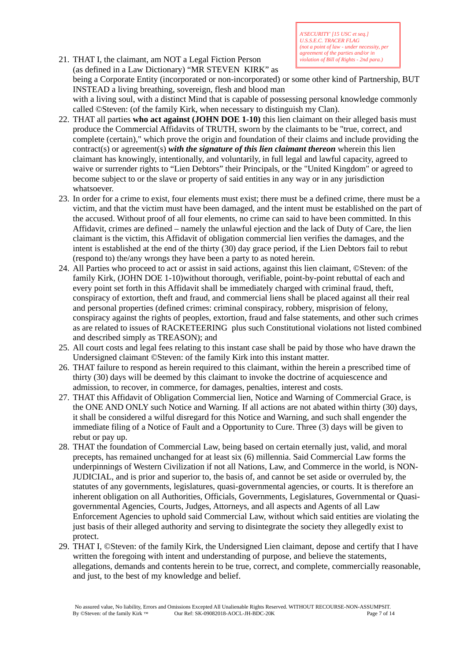*A'SECURITY' [15 USC et seq.] U.S.S.E.C. TRACER FLAG (not a point of law - under necessity, per agreement of the parties and/or in violation of Bill of Rights - 2nd para.)*

- 21. THAT I, the claimant, am NOT a Legal Fiction Person (as defined in a Law Dictionary) "MR STEVEN KIRK" as being a Corporate Entity (incorporated or non-incorporated) or some other kind of Partnership, BUT INSTEAD a living breathing, sovereign, flesh and blood man with a living soul, with a distinct Mind that is capable of possessing personal knowledge commonly called ©Steven: (of the family Kirk, when necessary to distinguish my Clan).
- 22. THAT all parties **who act against (JOHN DOE 1-10)** this lien claimant on their alleged basis must produce the Commercial Affidavits of TRUTH, sworn by the claimants to be "true, correct, and complete (certain)," which prove the origin and foundation of their claims and include providing the contract(s) or agreement(s) *with the signature of this lien claimant thereon* wherein this lien claimant has knowingly, intentionally, and voluntarily, in full legal and lawful capacity, agreed to waive or surrender rights to "Lien Debtors" their Principals, or the "United Kingdom" or agreed to become subject to or the slave or property of said entities in any way or in any jurisdiction whatsoever.
- 23. In order for a crime to exist, four elements must exist; there must be a defined crime, there must be a victim, and that the victim must have been damaged, and the intent must be established on the part of the accused. Without proof of all four elements, no crime can said to have been committed. In this Affidavit, crimes are defined – namely the unlawful ejection and the lack of Duty of Care, the lien claimant is the victim, this Affidavit of obligation commercial lien verifies the damages, and the intent is established at the end of the thirty (30) day grace period, if the Lien Debtors fail to rebut (respond to) the/any wrongs they have been a party to as noted herein.
- 24. All Parties who proceed to act or assist in said actions, against this lien claimant, ©Steven: of the family Kirk, (JOHN DOE 1-10)without thorough, verifiable, point-by-point rebuttal of each and every point set forth in this Affidavit shall be immediately charged with criminal fraud, theft, conspiracy of extortion, theft and fraud, and commercial liens shall be placed against all their real and personal properties (defined crimes: criminal conspiracy, robbery, misprision of felony, conspiracy against the rights of peoples, extortion, fraud and false statements, and other such crimes as are related to issues of RACKETEERING plus such Constitutional violations not listed combined and described simply as TREASON); and
- 25. All court costs and legal fees relating to this instant case shall be paid by those who have drawn the Undersigned claimant ©Steven: of the family Kirk into this instant matter.
- 26. THAT failure to respond as herein required to this claimant, within the herein a prescribed time of thirty (30) days will be deemed by this claimant to invoke the doctrine of acquiescence and admission, to recover, in commerce, for damages, penalties, interest and costs.
- 27. THAT this Affidavit of Obligation Commercial lien, Notice and Warning of Commercial Grace, is the ONE AND ONLY such Notice and Warning. If all actions are not abated within thirty (30) days, it shall be considered a wilful disregard for this Notice and Warning, and such shall engender the immediate filing of a Notice of Fault and a Opportunity to Cure. Three (3) days will be given to rebut or pay up.
- 28. THAT the foundation of Commercial Law, being based on certain eternally just, valid, and moral precepts, has remained unchanged for at least six (6) millennia. Said Commercial Law forms the underpinnings of Western Civilization if not all Nations, Law, and Commerce in the world, is NON-JUDICIAL, and is prior and superior to, the basis of, and cannot be set aside or overruled by, the statutes of any governments, legislatures, quasi-governmental agencies, or courts. It is therefore an inherent obligation on all Authorities, Officials, Governments, Legislatures, Governmental or Quasigovernmental Agencies, Courts, Judges, Attorneys, and all aspects and Agents of all Law Enforcement Agencies to uphold said Commercial Law, without which said entities are violating the just basis of their alleged authority and serving to disintegrate the society they allegedly exist to protect.
- 29. THAT I, ©Steven: of the family Kirk, the Undersigned Lien claimant, depose and certify that I have written the foregoing with intent and understanding of purpose, and believe the statements, allegations, demands and contents herein to be true, correct, and complete, commercially reasonable, and just, to the best of my knowledge and belief.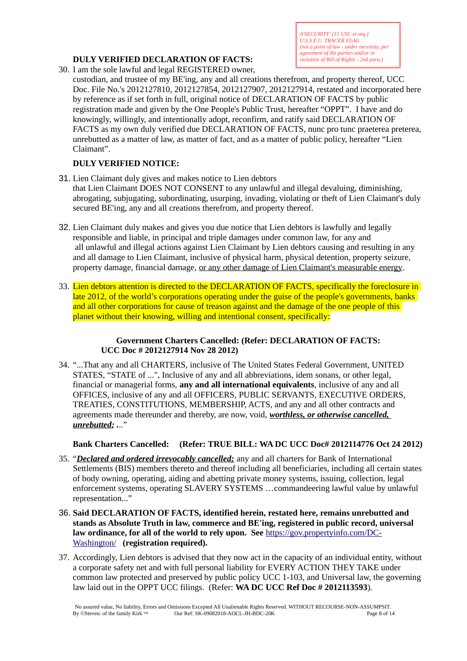# **DULY VERIFIED DECLARATION OF FACTS:**

30. I am the sole lawful and legal REGISTERED owner,

custodian, and trustee of my BE'ing, any and all creations therefrom, and property thereof, UCC Doc. File No.'s 2012127810, 2012127854, 2012127907, 2012127914, restated and incorporated here by reference as if set forth in full, original notice of DECLARATION OF FACTS by public registration made and given by the One People's Public Trust, hereafter "OPPT". I have and do knowingly, willingly, and intentionally adopt, reconfirm, and ratify said DECLARATION OF FACTS as my own duly verified due DECLARATION OF FACTS, nunc pro tunc praeterea preterea, unrebutted as a matter of law, as matter of fact, and as a matter of public policy, hereafter "Lien Claimant".

# **DULY VERIFIED NOTICE:**

- 31. Lien Claimant duly gives and makes notice to Lien debtors that Lien Claimant DOES NOT CONSENT to any unlawful and illegal devaluing, diminishing, abrogating, subjugating, subordinating, usurping, invading, violating or theft of Lien Claimant's duly secured BE'ing, any and all creations therefrom, and property thereof.
- 32. Lien Claimant duly makes and gives you due notice that Lien debtors is lawfully and legally responsible and liable, in principal and triple damages under common law, for any and all unlawful and illegal actions against Lien Claimant by Lien debtors causing and resulting in any and all damage to Lien Claimant, inclusive of physical harm, physical detention, property seizure, property damage, financial damage, or any other damage of Lien Claimant's measurable energy.
- 33. Lien debtors attention is directed to the DECLARATION OF FACTS, specifically the foreclosure in late 2012, of the world's corporations operating under the guise of the people's governments, banks and all other corporations for cause of treason against and the damage of the one people of this planet without their knowing, willing and intentional consent, specifically:

#### **Government Charters Cancelled: (Refer: DECLARATION OF FACTS: UCC Doc # 2012127914 Nov 28 2012)**

34. "...That any and all CHARTERS, inclusive of The United States Federal Government, UNITED STATES, "STATE of ...", Inclusive of any and all abbreviations, idem sonans, or other legal, financial or managerial forms, **any and all international equivalents**, inclusive of any and all OFFICES, inclusive of any and all OFFICERS, PUBLIC SERVANTS, EXECUTIVE ORDERS, TREATIES, CONSTITUTIONS, MEMBERSHIP, ACTS, and any and all other contracts and agreements made thereunder and thereby, are now, void, *worthless, or otherwise cancelled, unrebutted; .*.."

**Bank Charters Cancelled: (Refer: TRUE BILL: WA DC UCC Doc# 2012114776 Oct 24 2012)**

- 35. "*Declared and ordered irrevocably cancelled;* any and all charters for Bank of International Settlements (BIS) members thereto and thereof including all beneficiaries, including all certain states of body owning, operating, aiding and abetting private money systems, issuing, collection, legal enforcement systems, operating SLAVERY SYSTEMS …commandeering lawful value by unlawful representation..."
- 36. **Said DECLARATION OF FACTS, identified herein, restated here, remains unrebutted and stands as Absolute Truth in law, commerce and BE'ing, registered in public record, universal law ordinance, for all of the world to rely upon. See** [https://gov.propertyinfo.com/DC-](https://gov.propertyinfo.com/DC-Washington/)[Washington/](https://gov.propertyinfo.com/DC-Washington/) **(registration required).**
- 37. Accordingly, Lien debtors is advised that they now act in the capacity of an individual entity, without a corporate safety net and with full personal liability for EVERY ACTION THEY TAKE under common law protected and preserved by public policy UCC 1-103, and Universal law, the governing law laid out in the OPPT UCC filings. (Refer: **WA DC UCC Ref Doc # 2012113593**).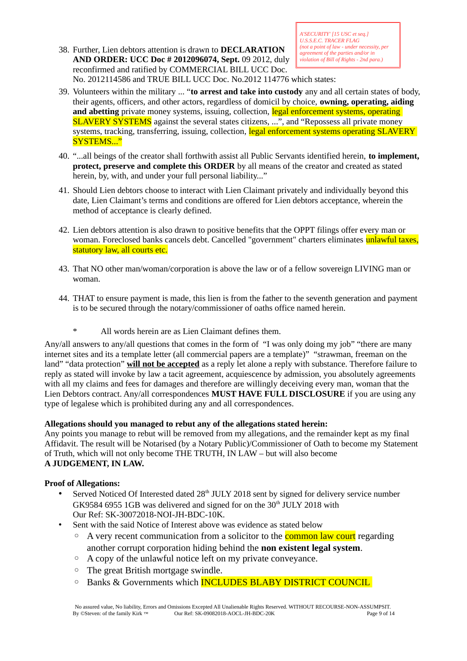38. Further, Lien debtors attention is drawn to **DECLARATION AND ORDER: UCC Doc # 2012096074, Sept.** 09 2012, duly reconfirmed and ratified by COMMERCIAL BILL UCC Doc. No. 2012114586 and TRUE BILL UCC Doc. No.2012 114776 which states:

- 39. Volunteers within the military ... "**to arrest and take into custody** any and all certain states of body, their agents, officers, and other actors, regardless of domicil by choice, **owning, operating, aiding and abetting** private money systems, issuing, collection, legal enforcement systems, operating SLAVERY SYSTEMS against the several states citizens, ...", and "Repossess all private money systems, tracking, transferring, issuing, collection, legal enforcement systems operating SLAVERY SYSTEMS..."
- 40. "...all beings of the creator shall forthwith assist all Public Servants identified herein, **to implement, protect, preserve and complete this ORDER** by all means of the creator and created as stated herein, by, with, and under your full personal liability..."
- 41. Should Lien debtors choose to interact with Lien Claimant privately and individually beyond this date, Lien Claimant's terms and conditions are offered for Lien debtors acceptance, wherein the method of acceptance is clearly defined.
- 42. Lien debtors attention is also drawn to positive benefits that the OPPT filings offer every man or woman. Foreclosed banks cancels debt. Cancelled "government" charters eliminates unlawful taxes, statutory law, all courts etc.
- 43. That NO other man/woman/corporation is above the law or of a fellow sovereign LIVING man or woman.
- 44. THAT to ensure payment is made, this lien is from the father to the seventh generation and payment is to be secured through the notary/commissioner of oaths office named herein.
	- \* All words herein are as Lien Claimant defines them.

Any/all answers to any/all questions that comes in the form of "I was only doing my job" "there are many internet sites and its a template letter (all commercial papers are a template)" "strawman, freeman on the land" "data protection" **will not be accepted** as a reply let alone a reply with substance. Therefore failure to reply as stated will invoke by law a tacit agreement, acquiescence by admission, you absolutely agreements with all my claims and fees for damages and therefore are willingly deceiving every man, woman that the Lien Debtors contract. Any/all correspondences **MUST HAVE FULL DISCLOSURE** if you are using any type of legalese which is prohibited during any and all correspondences.

# **Allegations should you managed to rebut any of the allegations stated herein:**

Any points you manage to rebut will be removed from my allegations, and the remainder kept as my final Affidavit. The result will be Notarised (by a Notary Public)/Commissioner of Oath to become my Statement of Truth, which will not only become THE TRUTH, IN LAW – but will also become **A JUDGEMENT, IN LAW.**

# **Proof of Allegations:**

- Served Noticed Of Interested dated 28<sup>th</sup> JULY 2018 sent by signed for delivery service number GK9584 6955 1GB was delivered and signed for on the  $30<sup>th</sup>$  JULY 2018 with Our Ref: SK-30072018-NOI-JH-BDC-10K.
- Sent with the said Notice of Interest above was evidence as stated below
	- A very recent communication from a solicitor to the **common law court** regarding another corrupt corporation hiding behind the **non existent legal system**.
	- A copy of the unlawful notice left on my private conveyance.
	- The great British mortgage swindle.
	- Banks & Governments which INCLUDES BLABY DISTRICT COUNCIL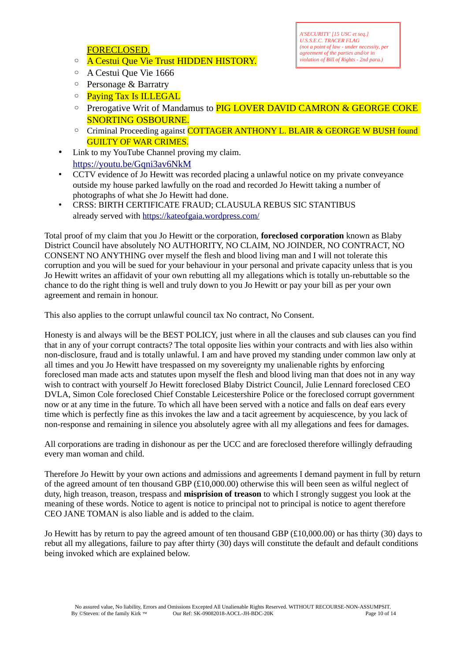FORECLOSED.

- A Cestui Que Vie Trust HIDDEN HISTORY.
- *A'SECURITY' [15 USC et seq.] U.S.S.E.C. TRACER FLAG (not a point of law - under necessity, per agreement of the parties and/or in violation of Bill of Rights - 2nd para.)*

- A Cestui Que Vie 1666
- Personage & Barratry
- Paying Tax Is ILLEGAL
- Prerogative Writ of Mandamus to PIG LOVER DAVID CAMRON & GEORGE COKE SNORTING OSBOURNE.
- Criminal Proceeding against COTTAGER ANTHONY L. BLAIR & GEORGE W BUSH found GUILTY OF WAR CRIMES.
- Link to my YouTube Channel proving my claim. <https://youtu.be/Gqni3av6NkM>
- CCTV evidence of Jo Hewitt was recorded placing a unlawful notice on my private conveyance outside my house parked lawfully on the road and recorded Jo Hewitt taking a number of photographs of what she Jo Hewitt had done.
- CRSS: BIRTH CERTIFICATE FRAUD; CLAUSULA REBUS SIC STANTIBUS already served with<https://kateofgaia.wordpress.com/>

Total proof of my claim that you Jo Hewitt or the corporation, **foreclosed corporation** known as Blaby District Council have absolutely NO AUTHORITY, NO CLAIM, NO JOINDER, NO CONTRACT, NO CONSENT NO ANYTHING over myself the flesh and blood living man and I will not tolerate this corruption and you will be sued for your behaviour in your personal and private capacity unless that is you Jo Hewitt writes an affidavit of your own rebutting all my allegations which is totally un-rebuttable so the chance to do the right thing is well and truly down to you Jo Hewitt or pay your bill as per your own agreement and remain in honour.

This also applies to the corrupt unlawful council tax No contract, No Consent.

Honesty is and always will be the BEST POLICY, just where in all the clauses and sub clauses can you find that in any of your corrupt contracts? The total opposite lies within your contracts and with lies also within non-disclosure, fraud and is totally unlawful. I am and have proved my standing under common law only at all times and you Jo Hewitt have trespassed on my sovereignty my unalienable rights by enforcing foreclosed man made acts and statutes upon myself the flesh and blood living man that does not in any way wish to contract with yourself Jo Hewitt foreclosed Blaby District Council, Julie Lennard foreclosed CEO DVLA, Simon Cole foreclosed Chief Constable Leicestershire Police or the foreclosed corrupt government now or at any time in the future. To which all have been served with a notice and falls on deaf ears every time which is perfectly fine as this invokes the law and a tacit agreement by acquiescence, by you lack of non-response and remaining in silence you absolutely agree with all my allegations and fees for damages.

All corporations are trading in dishonour as per the UCC and are foreclosed therefore willingly defrauding every man woman and child.

Therefore Jo Hewitt by your own actions and admissions and agreements I demand payment in full by return of the agreed amount of ten thousand GBP (£10,000.00) otherwise this will been seen as wilful neglect of duty, high treason, treason, trespass and **misprision of treason** to which I strongly suggest you look at the meaning of these words. Notice to agent is notice to principal not to principal is notice to agent therefore CEO JANE TOMAN is also liable and is added to the claim.

Jo Hewitt has by return to pay the agreed amount of ten thousand GBP (£10,000.00) or has thirty (30) days to rebut all my allegations, failure to pay after thirty (30) days will constitute the default and default conditions being invoked which are explained below.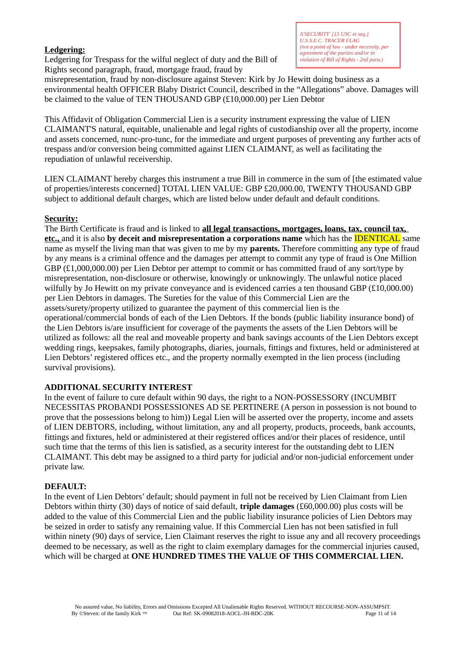# **Ledgering:**

Ledgering for Trespass for the wilful neglect of duty and the Bill of Rights second paragraph, fraud, mortgage fraud, fraud by

misrepresentation, fraud by non-disclosure against Steven: Kirk by Jo Hewitt doing business as a environmental health OFFICER Blaby District Council, described in the "Allegations" above. Damages will be claimed to the value of TEN THOUSAND GBP (£10,000.00) per Lien Debtor

This Affidavit of Obligation Commercial Lien is a security instrument expressing the value of LIEN CLAIMANT'S natural, equitable, unalienable and legal rights of custodianship over all the property, income and assets concerned, nunc-pro-tunc, for the immediate and urgent purposes of preventing any further acts of trespass and/or conversion being committed against LIEN CLAIMANT, as well as facilitating the repudiation of unlawful receivership.

LIEN CLAIMANT hereby charges this instrument a true Bill in commerce in the sum of [the estimated value of properties/interests concerned] TOTAL LIEN VALUE: GBP £20,000.00, TWENTY THOUSAND GBP subject to additional default charges, which are listed below under default and default conditions.

# **Security:**

The Birth Certificate is fraud and is linked to **all legal transactions, mortgages, loans, tax, council tax, etc.,** and it is also **by deceit and misrepresentation a corporations name** which has the IDENTICAL same name as myself the living man that was given to me by my **parents.** Therefore committing any type of fraud by any means is a criminal offence and the damages per attempt to commit any type of fraud is One Million GBP (£1,000,000.00) per Lien Debtor per attempt to commit or has committed fraud of any sort/type by misrepresentation, non-disclosure or otherwise, knowingly or unknowingly. The unlawful notice placed wilfully by Jo Hewitt on my private conveyance and is evidenced carries a ten thousand GBP (£10,000.00) per Lien Debtors in damages. The Sureties for the value of this Commercial Lien are the assets/surety/property utilized to guarantee the payment of this commercial lien is the operational/commercial bonds of each of the Lien Debtors. If the bonds (public liability insurance bond) of the Lien Debtors is/are insufficient for coverage of the payments the assets of the Lien Debtors will be utilized as follows: all the real and moveable property and bank savings accounts of the Lien Debtors except wedding rings, keepsakes, family photographs, diaries, journals, fittings and fixtures, held or administered at Lien Debtors' registered offices etc., and the property normally exempted in the lien process (including survival provisions).

#### **ADDITIONAL SECURITY INTEREST**

In the event of failure to cure default within 90 days, the right to a NON-POSSESSORY (INCUMBIT NECESSITAS PROBANDI POSSESSIONES AD SE PERTINERE (A person in possession is not bound to prove that the possessions belong to him)) Legal Lien will be asserted over the property, income and assets of LIEN DEBTORS, including, without limitation, any and all property, products, proceeds, bank accounts, fittings and fixtures, held or administered at their registered offices and/or their places of residence, until such time that the terms of this lien is satisfied, as a security interest for the outstanding debt to LIEN CLAIMANT. This debt may be assigned to a third party for judicial and/or non-judicial enforcement under private law.

#### **DEFAULT:**

In the event of Lien Debtors' default; should payment in full not be received by Lien Claimant from Lien Debtors within thirty (30) days of notice of said default, **triple damages** (£60,000.00) plus costs will be added to the value of this Commercial Lien and the public liability insurance policies of Lien Debtors may be seized in order to satisfy any remaining value. If this Commercial Lien has not been satisfied in full within ninety (90) days of service, Lien Claimant reserves the right to issue any and all recovery proceedings deemed to be necessary, as well as the right to claim exemplary damages for the commercial injuries caused, which will be charged at **ONE HUNDRED TIMES THE VALUE OF THIS COMMERCIAL LIEN.**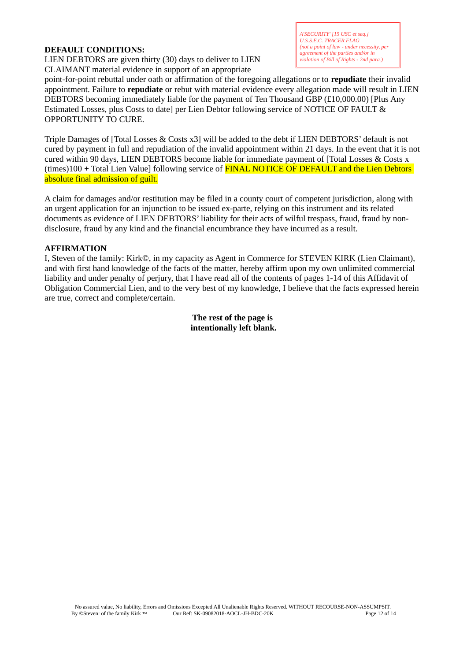### **DEFAULT CONDITIONS:**

LIEN DEBTORS are given thirty (30) days to deliver to LIEN CLAIMANT material evidence in support of an appropriate

point-for-point rebuttal under oath or affirmation of the foregoing allegations or to **repudiate** their invalid appointment. Failure to **repudiate** or rebut with material evidence every allegation made will result in LIEN DEBTORS becoming immediately liable for the payment of Ten Thousand GBP (£10,000.00) [Plus Any Estimated Losses, plus Costs to date] per Lien Debtor following service of NOTICE OF FAULT & OPPORTUNITY TO CURE.

Triple Damages of [Total Losses & Costs x3] will be added to the debt if LIEN DEBTORS' default is not cured by payment in full and repudiation of the invalid appointment within 21 days. In the event that it is not cured within 90 days, LIEN DEBTORS become liable for immediate payment of [Total Losses & Costs x (times)100 + Total Lien Value] following service of FINAL NOTICE OF DEFAULT and the Lien Debtors absolute final admission of guilt.

A claim for damages and/or restitution may be filed in a county court of competent jurisdiction, along with an urgent application for an injunction to be issued ex-parte, relying on this instrument and its related documents as evidence of LIEN DEBTORS' liability for their acts of wilful trespass, fraud, fraud by nondisclosure, fraud by any kind and the financial encumbrance they have incurred as a result.

#### **AFFIRMATION**

I, Steven of the family: Kirk©, in my capacity as Agent in Commerce for STEVEN KIRK (Lien Claimant), and with first hand knowledge of the facts of the matter, hereby affirm upon my own unlimited commercial liability and under penalty of perjury, that I have read all of the contents of pages 1-14 of this Affidavit of Obligation Commercial Lien, and to the very best of my knowledge, I believe that the facts expressed herein are true, correct and complete/certain.

# **The rest of the page is intentionally left blank.**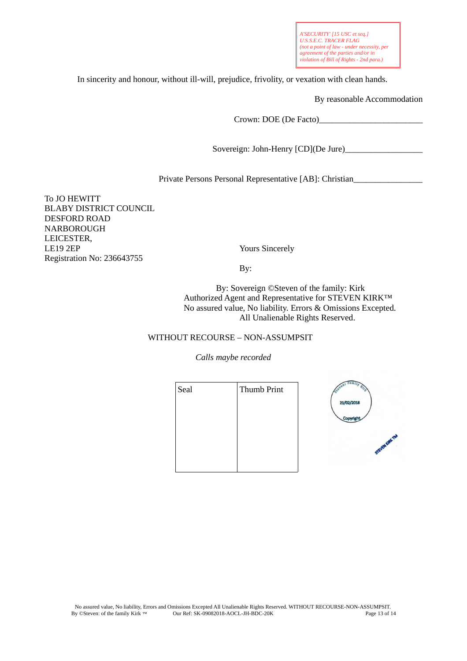*A'SECURITY' [15 USC et seq.] U.S.S.E.C. TRACER FLAG (not a point of law - under necessity, per agreement of the parties and/or in violation of Bill of Rights - 2nd para.)*

In sincerity and honour, without ill-will, prejudice, frivolity, or vexation with clean hands.

By reasonable Accommodation

Crown: DOE (De Facto)\_\_\_\_\_\_\_\_\_\_\_\_\_\_\_\_\_\_\_\_\_\_\_\_

Sovereign: John-Henry [CD](De Jure)\_\_\_\_\_\_\_\_\_\_\_\_\_\_\_\_\_\_

Private Persons Personal Representative [AB]: Christian\_\_\_\_\_\_\_\_\_\_\_\_\_\_\_\_\_\_\_\_\_\_\_\_\_

To JO HEWITT BLABY DISTRICT COUNCIL DESFORD ROAD NARBOROUGH LEICESTER, LE19 2EP Yours Sincerely Registration No: 236643755

By:

 By: Sovereign ©Steven of the family: Kirk Authorized Agent and Representative for STEVEN KIRK™ No assured value, No liability. Errors & Omissions Excepted. All Unalienable Rights Reserved.

#### WITHOUT RECOURSE – NON-ASSUMPSIT

*Calls maybe recorded*

| Thumb Print |                    |
|-------------|--------------------|
|             | 21/02/2018         |
|             |                    |
|             | <b>STEVEN FIRE</b> |
|             |                    |